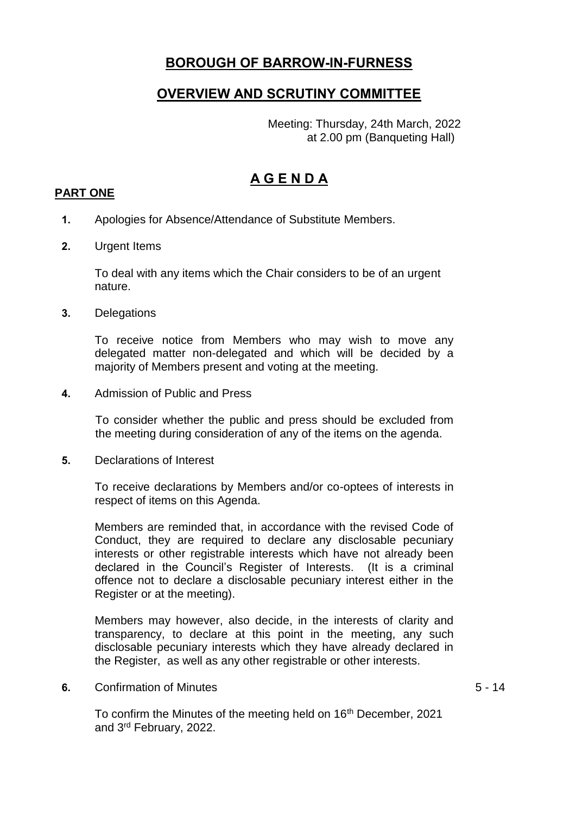# **BOROUGH OF BARROW-IN-FURNESS**

## **OVERVIEW AND SCRUTINY COMMITTEE**

Meeting: Thursday, 24th March, 2022 at 2.00 pm (Banqueting Hall)

# **A G E N D A**

### **PART ONE**

- **1.** Apologies for Absence/Attendance of Substitute Members.
- **2.** Urgent Items

To deal with any items which the Chair considers to be of an urgent nature.

**3.** Delegations

To receive notice from Members who may wish to move any delegated matter non-delegated and which will be decided by a majority of Members present and voting at the meeting.

**4.** Admission of Public and Press

To consider whether the public and press should be excluded from the meeting during consideration of any of the items on the agenda.

**5.** Declarations of Interest

To receive declarations by Members and/or co-optees of interests in respect of items on this Agenda.

Members are reminded that, in accordance with the revised Code of Conduct, they are required to declare any disclosable pecuniary interests or other registrable interests which have not already been declared in the Council's Register of Interests. (It is a criminal offence not to declare a disclosable pecuniary interest either in the Register or at the meeting).

Members may however, also decide, in the interests of clarity and transparency, to declare at this point in the meeting, any such disclosable pecuniary interests which they have already declared in the Register, as well as any other registrable or other interests.

**6.** Confirmation of Minutes

5 - 14

To confirm the Minutes of the meeting held on 16<sup>th</sup> December, 2021 and 3rd February, 2022.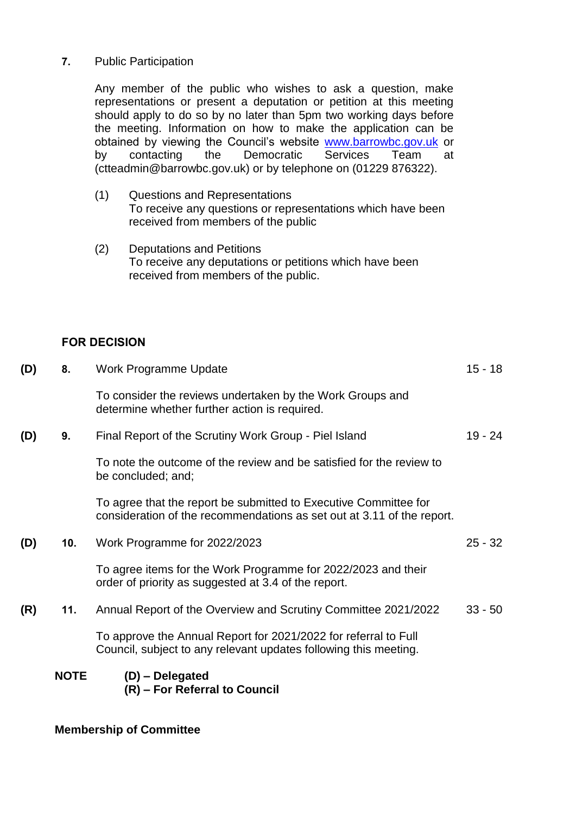### **7.** Public Participation

Any member of the public who wishes to ask a question, make representations or present a deputation or petition at this meeting should apply to do so by no later than 5pm two working days before the meeting. Information on how to make the application can be obtained by viewing the Council's website [www.barrowbc.gov.uk](http://www.barrowbc.gov.uk/) or<br>by contacting the Democratic Services Team at by contacting the Democratic Services Team at (ctteadmin@barrowbc.gov.uk) or by telephone on (01229 876322).

- (1) Questions and Representations To receive any questions or representations which have been received from members of the public
- (2) Deputations and Petitions To receive any deputations or petitions which have been received from members of the public.

#### **FOR DECISION**

|     | <b>NOTE</b> | (D) - Delegated<br>(R) – For Referral to Council                                                                                           |           |
|-----|-------------|--------------------------------------------------------------------------------------------------------------------------------------------|-----------|
|     |             | To approve the Annual Report for 2021/2022 for referral to Full<br>Council, subject to any relevant updates following this meeting.        |           |
| (R) | 11.         | Annual Report of the Overview and Scrutiny Committee 2021/2022                                                                             | $33 - 50$ |
|     |             | To agree items for the Work Programme for 2022/2023 and their<br>order of priority as suggested at 3.4 of the report.                      |           |
| (D) | 10.         | Work Programme for 2022/2023                                                                                                               | $25 - 32$ |
|     |             | To agree that the report be submitted to Executive Committee for<br>consideration of the recommendations as set out at 3.11 of the report. |           |
|     |             | To note the outcome of the review and be satisfied for the review to<br>be concluded; and;                                                 |           |
| (D) | 9.          | Final Report of the Scrutiny Work Group - Piel Island                                                                                      | $19 - 24$ |
|     |             | To consider the reviews undertaken by the Work Groups and<br>determine whether further action is required.                                 |           |
| (D) | 8.          | Work Programme Update                                                                                                                      | $15 - 18$ |

#### **Membership of Committee**